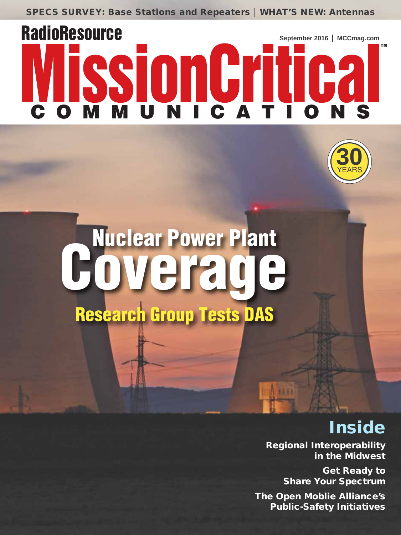**SPECS SURVEY: Base Stations and Repeaters | WHAT'S NEW: Antennas** 

# **RadioResource September 2016 MCCmag.com TM** sionGriti **MUNICAT**



# Nuclear Power Plant<br>**OVE rade Research Group Tests DAS**

# **Inside**

**Regional Interoperability in the Midwest**

> **Get Ready to Share Your Spectrum**

**The Open Moblie Alliance's Public-Safety Initiatives**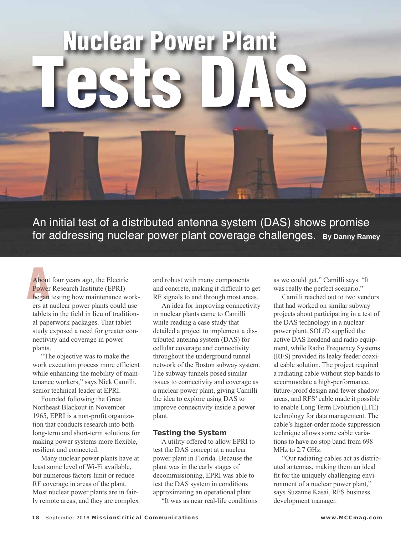# **Nuclear Plant Plant Plant Plant Tests DAS**

An initial test of a distributed antenna system (DAS) shows promise for addressing nuclear power plant coverage challenges. **By Danny Ramey**

ers at 1<br>
tablets<br>
al pape<br>
study<br>
nectiv About four years ago, the Electric Power Research Institute (EPRI) began testing how maintenance workers at nuclear power plants could use tablets in the field in lieu of traditional paperwork packages. That tablet study exposed a need for greater connectivity and coverage in power plants.

 "The objective was to make the work execution process more efficient while enhancing the mobility of maintenance workers," says Nick Camilli, senior technical leader at EPRI.

 Founded following the Great Northeast Blackout in November 1965, EPRI is a non-profit organization that conducts research into both long-term and short-term solutions for making power systems more flexible, resilient and connected.

 Many nuclear power plants have at least some level of Wi-Fi available, but numerous factors limit or reduce RF coverage in areas of the plant. Most nuclear power plants are in fairly remote areas, and they are complex

and robust with many components and concrete, making it difficult to get RF signals to and through most areas.

 An idea for improving connectivity in nuclear plants came to Camilli while reading a case study that detailed a project to implement a distributed antenna system (DAS) for cellular coverage and connectivity throughout the underground tunnel network of the Boston subway system. The subway tunnels posed similar issues to connectivity and coverage as a nuclear power plant, giving Camilli the idea to explore using DAS to improve connectivity inside a power plant.

#### **Testing the System**

 A utility offered to allow EPRI to test the DAS concept at a nuclear power plant in Florida. Because the plant was in the early stages of decommissioning, EPRI was able to test the DAS system in conditions approximating an operational plant.

"It was as near real-life conditions

as we could get," Camilli says. "It was really the perfect scenario."

 Camilli reached out to two vendors that had worked on similar subway projects about participating in a test of the DAS technology in a nuclear power plant. SOLiD supplied the active DAS headend and radio equipment, while Radio Frequency Systems (RFS) provided its leaky feeder coaxial cable solution. The project required a radiating cable without stop bands to accommodate a high-performance, future-proof design and fewer shadow areas, and RFS' cable made it possible to enable Long Term Evolution (LTE) technology for data management. The cable's higher-order mode suppression technique allows some cable variations to have no stop band from 698 MHz to 2.7 GHz.

 "Our radiating cables act as distributed antennas, making them an ideal fit for the uniquely challenging environment of a nuclear power plant," says Suzanne Kasai, RFS business development manager.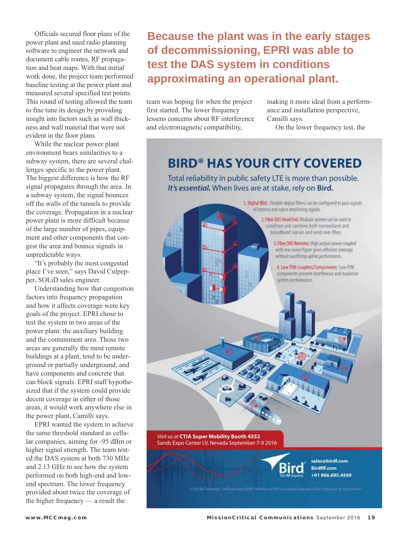Officials secured floor plans of the power plant and used radio planning software to engineer the network and document cable routes, RF propagation and heat maps. With that initial work done, the project team performed baseline testing at the power plant and measured several specified test points. This round of testing allowed the team to fine tune its design by providing insight into factors such as wall thickness and wall material that were not evident in the floor plans.

 While the nuclear power plant environment bears similarities to a subway system, there are several challenges specific to the power plant. The biggest difference is how the RF signal propagates through the area. In a subway system, the signal bounces off the walls of the tunnels to provide the coverage. Propagation in a nuclear power plant is more difficult because of the large number of pipes, equipment and other components that congest the area and bounce signals in unpredictable ways.

 "It's probably the most congested place I've seen," says David Culpepper, SOLiD sales engineer.

 Understanding how that congestion factors into frequency propagation and how it affects coverage were key goals of the project. EPRI chose to test the system in two areas of the power plant: the auxiliary building and the containment area. Those two areas are generally the most remote buildings at a plant, tend to be underground or partially underground, and have components and concrete that can block signals. EPRI staff hypothesized that if the system could provide decent coverage in either of those areas, it would work anywhere else in the power plant, Camilli says.

 EPRI wanted the system to achieve the same threshold standard as cellular companies, aiming for -95 dBm or higher signal strength. The team tested the DAS system at both 730 MHz and 2.13 GHz to see how the system performed on both high-end and lowend spectrum. The lower frequency provided about twice the coverage of the higher frequency — a result the

### **Because the plant was in the early stages of decommissioning, EPRI was able to test the DAS system in conditions approximating an operational plant.**

team was hoping for when the project first started. The lower frequency lessens concerns about RF interference and electromagnetic compatibility,

making it more ideal from a performance and installation perspective, Camilli says.

On the lower frequency test, the

## **BIRD<sup>®</sup> HAS YOUR CITY COVERED**

Total reliability in public safety LTE is more than possible. It's essential. When lives are at stake, rely on Bird.

> 1. Digital BDA: Flexible digital filters can be configured to pass signals of interest and reject interfering signals.

> > 2. Fiber DAS Head End: Modular system can be used to condition and combine both narrowband and broadband signals and send over fiber.

> > > 3. Fiber DAS Remotes: High output power coupled with low noise figure gives efficient coverage without sacrificing uplink performance.

4. Low PIM Couplers/Components: Low PIM components prevent interference and maximize system performance.

Visit us at CTIA Super Mobility Booth 4352 Sands Expo Center LV, Nevada September 7-9 2016



sales@birdf.com **BirdRF.com** +01 866.695.4569